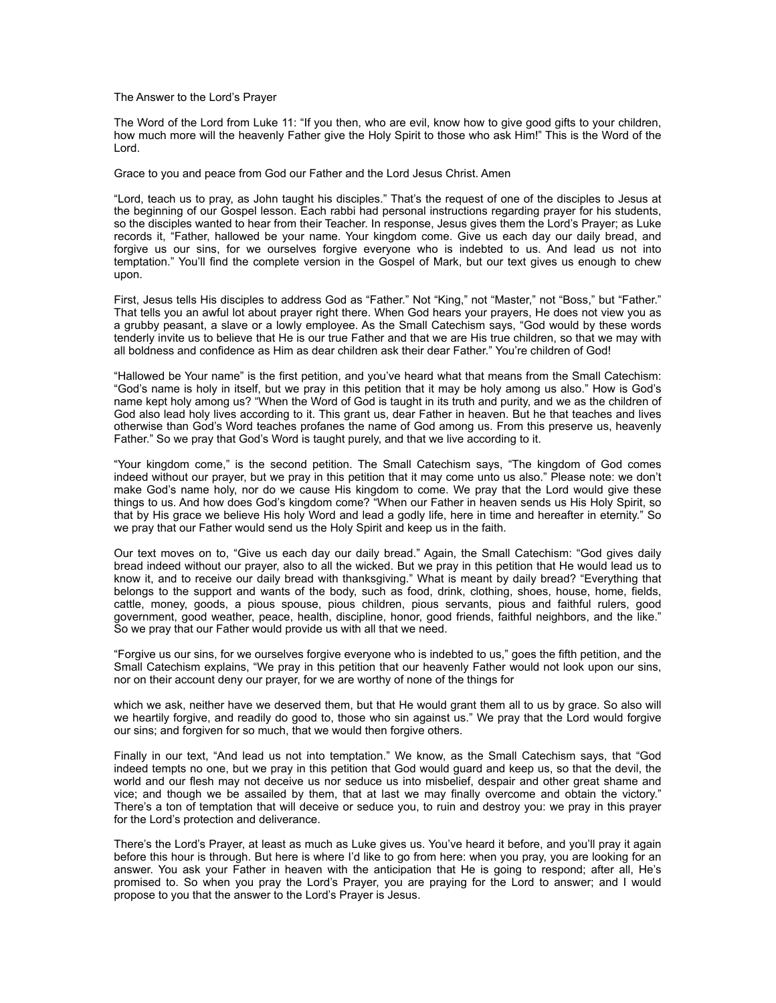The Answer to the Lord's Prayer

The Word of the Lord from Luke 11: "If you then, who are evil, know how to give good gifts to your children, how much more will the heavenly Father give the Holy Spirit to those who ask Him!" This is the Word of the Lord.

Grace to you and peace from God our Father and the Lord Jesus Christ. Amen

"Lord, teach us to pray, as John taught his disciples." That's the request of one of the disciples to Jesus at the beginning of our Gospel lesson. Each rabbi had personal instructions regarding prayer for his students, so the disciples wanted to hear from their Teacher. In response, Jesus gives them the Lord's Prayer; as Luke records it, "Father, hallowed be your name. Your kingdom come. Give us each day our daily bread, and forgive us our sins, for we ourselves forgive everyone who is indebted to us. And lead us not into temptation." You'll find the complete version in the Gospel of Mark, but our text gives us enough to chew upon.

First, Jesus tells His disciples to address God as "Father." Not "King," not "Master," not "Boss," but "Father." That tells you an awful lot about prayer right there. When God hears your prayers, He does not view you as a grubby peasant, a slave or a lowly employee. As the Small Catechism says, "God would by these words tenderly invite us to believe that He is our true Father and that we are His true children, so that we may with all boldness and confidence as Him as dear children ask their dear Father." You're children of God!

"Hallowed be Your name" is the first petition, and you've heard what that means from the Small Catechism: "God's name is holy in itself, but we pray in this petition that it may be holy among us also." How is God's name kept holy among us? "When the Word of God is taught in its truth and purity, and we as the children of God also lead holy lives according to it. This grant us, dear Father in heaven. But he that teaches and lives otherwise than God's Word teaches profanes the name of God among us. From this preserve us, heavenly Father." So we pray that God's Word is taught purely, and that we live according to it.

"Your kingdom come," is the second petition. The Small Catechism says, "The kingdom of God comes indeed without our prayer, but we pray in this petition that it may come unto us also." Please note: we don't make God's name holy, nor do we cause His kingdom to come. We pray that the Lord would give these things to us. And how does God's kingdom come? "When our Father in heaven sends us His Holy Spirit, so that by His grace we believe His holy Word and lead a godly life, here in time and hereafter in eternity." So we pray that our Father would send us the Holy Spirit and keep us in the faith.

Our text moves on to, "Give us each day our daily bread." Again, the Small Catechism: "God gives daily bread indeed without our prayer, also to all the wicked. But we pray in this petition that He would lead us to know it, and to receive our daily bread with thanksgiving." What is meant by daily bread? "Everything that belongs to the support and wants of the body, such as food, drink, clothing, shoes, house, home, fields, cattle, money, goods, a pious spouse, pious children, pious servants, pious and faithful rulers, good government, good weather, peace, health, discipline, honor, good friends, faithful neighbors, and the like." So we pray that our Father would provide us with all that we need.

"Forgive us our sins, for we ourselves forgive everyone who is indebted to us," goes the fifth petition, and the Small Catechism explains, "We pray in this petition that our heavenly Father would not look upon our sins, nor on their account deny our prayer, for we are worthy of none of the things for

which we ask, neither have we deserved them, but that He would grant them all to us by grace. So also will we heartily forgive, and readily do good to, those who sin against us." We pray that the Lord would forgive our sins; and forgiven for so much, that we would then forgive others.

Finally in our text, "And lead us not into temptation." We know, as the Small Catechism says, that "God indeed tempts no one, but we pray in this petition that God would guard and keep us, so that the devil, the world and our flesh may not deceive us nor seduce us into misbelief, despair and other great shame and vice; and though we be assailed by them, that at last we may finally overcome and obtain the victory." There's a ton of temptation that will deceive or seduce you, to ruin and destroy you: we pray in this prayer for the Lord's protection and deliverance.

There's the Lord's Prayer, at least as much as Luke gives us. You've heard it before, and you'll pray it again before this hour is through. But here is where I'd like to go from here: when you pray, you are looking for an answer. You ask your Father in heaven with the anticipation that He is going to respond; after all, He's promised to. So when you pray the Lord's Prayer, you are praying for the Lord to answer; and I would propose to you that the answer to the Lord's Prayer is Jesus.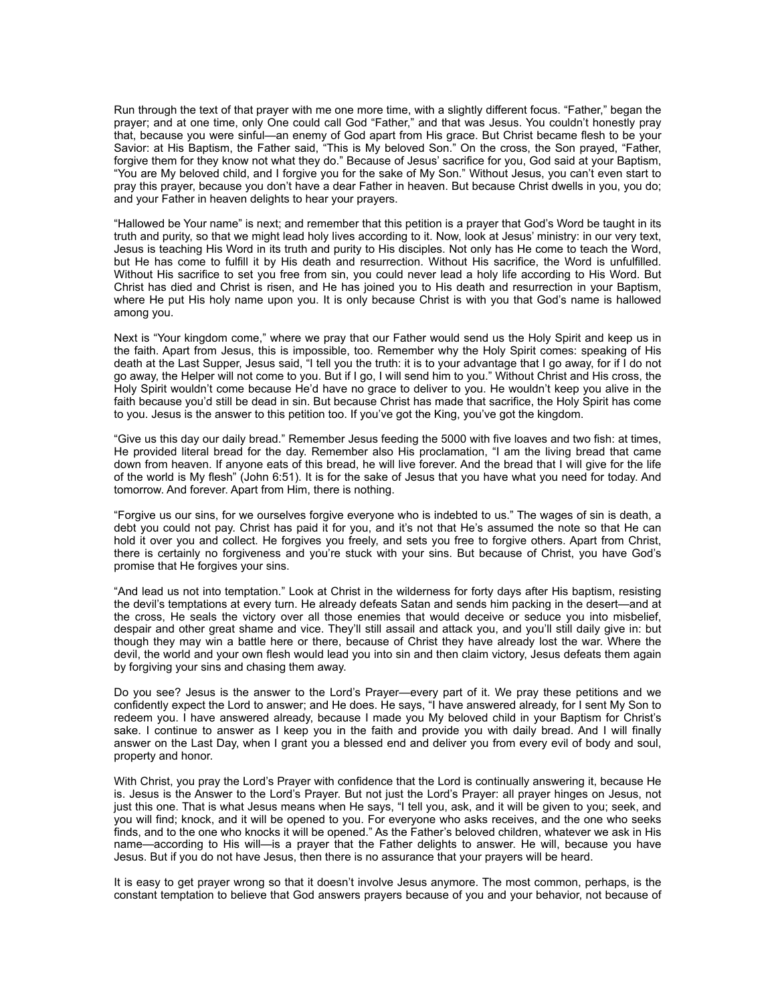Run through the text of that prayer with me one more time, with a slightly different focus. "Father," began the prayer; and at one time, only One could call God "Father," and that was Jesus. You couldn't honestly pray that, because you were sinful—an enemy of God apart from His grace. But Christ became flesh to be your Savior: at His Baptism, the Father said, "This is My beloved Son." On the cross, the Son prayed, "Father, forgive them for they know not what they do." Because of Jesus' sacrifice for you, God said at your Baptism, "You are My beloved child, and I forgive you for the sake of My Son." Without Jesus, you can't even start to pray this prayer, because you don't have a dear Father in heaven. But because Christ dwells in you, you do; and your Father in heaven delights to hear your prayers.

"Hallowed be Your name" is next; and remember that this petition is a prayer that God's Word be taught in its truth and purity, so that we might lead holy lives according to it. Now, look at Jesus' ministry: in our very text, Jesus is teaching His Word in its truth and purity to His disciples. Not only has He come to teach the Word, but He has come to fulfill it by His death and resurrection. Without His sacrifice, the Word is unfulfilled. Without His sacrifice to set you free from sin, you could never lead a holy life according to His Word. But Christ has died and Christ is risen, and He has joined you to His death and resurrection in your Baptism, where He put His holy name upon you. It is only because Christ is with you that God's name is hallowed among you.

Next is "Your kingdom come," where we pray that our Father would send us the Holy Spirit and keep us in the faith. Apart from Jesus, this is impossible, too. Remember why the Holy Spirit comes: speaking of His death at the Last Supper, Jesus said, "I tell you the truth: it is to your advantage that I go away, for if I do not go away, the Helper will not come to you. But if I go, I will send him to you." Without Christ and His cross, the Holy Spirit wouldn't come because He'd have no grace to deliver to you. He wouldn't keep you alive in the faith because you'd still be dead in sin. But because Christ has made that sacrifice, the Holy Spirit has come to you. Jesus is the answer to this petition too. If you've got the King, you've got the kingdom.

"Give us this day our daily bread." Remember Jesus feeding the 5000 with five loaves and two fish: at times, He provided literal bread for the day. Remember also His proclamation, "I am the living bread that came down from heaven. If anyone eats of this bread, he will live forever. And the bread that I will give for the life of the world is My flesh" (John 6:51). It is for the sake of Jesus that you have what you need for today. And tomorrow. And forever. Apart from Him, there is nothing.

"Forgive us our sins, for we ourselves forgive everyone who is indebted to us." The wages of sin is death, a debt you could not pay. Christ has paid it for you, and it's not that He's assumed the note so that He can hold it over you and collect. He forgives you freely, and sets you free to forgive others. Apart from Christ, there is certainly no forgiveness and you're stuck with your sins. But because of Christ, you have God's promise that He forgives your sins.

"And lead us not into temptation." Look at Christ in the wilderness for forty days after His baptism, resisting the devil's temptations at every turn. He already defeats Satan and sends him packing in the desert—and at the cross, He seals the victory over all those enemies that would deceive or seduce you into misbelief, despair and other great shame and vice. They'll still assail and attack you, and you'll still daily give in: but though they may win a battle here or there, because of Christ they have already lost the war. Where the devil, the world and your own flesh would lead you into sin and then claim victory, Jesus defeats them again by forgiving your sins and chasing them away.

Do you see? Jesus is the answer to the Lord's Prayer—every part of it. We pray these petitions and we confidently expect the Lord to answer; and He does. He says, "I have answered already, for I sent My Son to redeem you. I have answered already, because I made you My beloved child in your Baptism for Christ's sake. I continue to answer as I keep you in the faith and provide you with daily bread. And I will finally answer on the Last Day, when I grant you a blessed end and deliver you from every evil of body and soul, property and honor.

With Christ, you pray the Lord's Prayer with confidence that the Lord is continually answering it, because He is. Jesus is the Answer to the Lord's Prayer. But not just the Lord's Prayer: all prayer hinges on Jesus, not just this one. That is what Jesus means when He says, "I tell you, ask, and it will be given to you; seek, and you will find; knock, and it will be opened to you. For everyone who asks receives, and the one who seeks finds, and to the one who knocks it will be opened." As the Father's beloved children, whatever we ask in His name—according to His will—is a prayer that the Father delights to answer. He will, because you have Jesus. But if you do not have Jesus, then there is no assurance that your prayers will be heard.

It is easy to get prayer wrong so that it doesn't involve Jesus anymore. The most common, perhaps, is the constant temptation to believe that God answers prayers because of you and your behavior, not because of